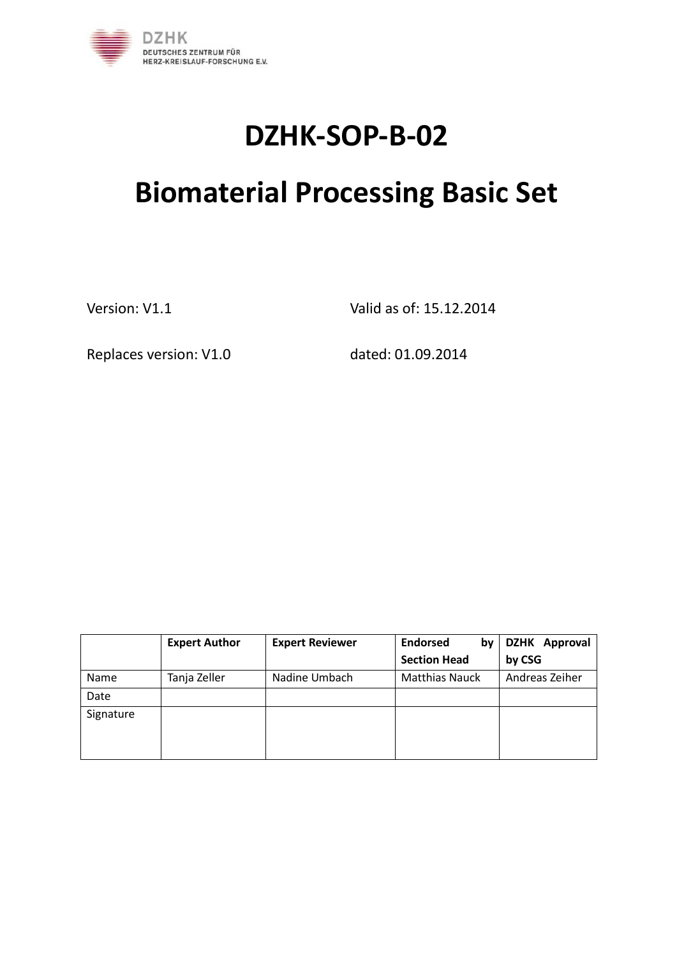

# **DZHK-SOP-B-02**

# **Biomaterial Processing Basic Set**

Version: V1.1 Valid as of: 15.12.2014

Replaces version: V1.0 dated: 01.09.2014

|           | <b>Expert Author</b> | <b>Expert Reviewer</b> | <b>Endorsed</b><br>b٧ | DZHK Approval  |
|-----------|----------------------|------------------------|-----------------------|----------------|
|           |                      |                        | <b>Section Head</b>   | by CSG         |
| Name      | Tanja Zeller         | Nadine Umbach          | <b>Matthias Nauck</b> | Andreas Zeiher |
| Date      |                      |                        |                       |                |
| Signature |                      |                        |                       |                |
|           |                      |                        |                       |                |
|           |                      |                        |                       |                |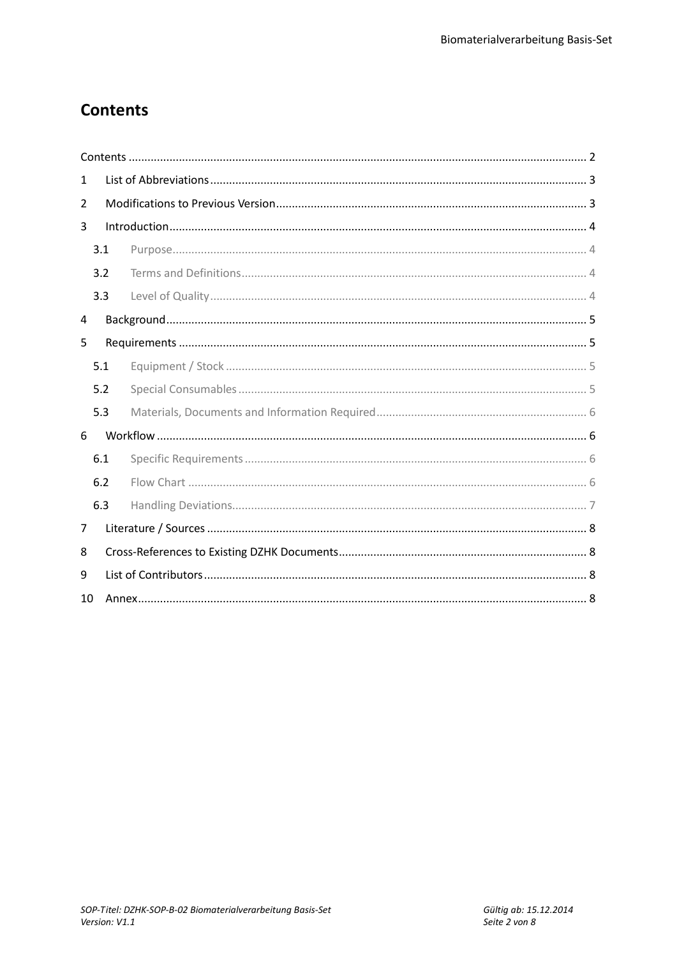# **Contents**

| 1  |     |  |  |  |  |  |
|----|-----|--|--|--|--|--|
| 2  |     |  |  |  |  |  |
| 3  |     |  |  |  |  |  |
|    | 3.1 |  |  |  |  |  |
|    | 3.2 |  |  |  |  |  |
|    | 3.3 |  |  |  |  |  |
| 4  |     |  |  |  |  |  |
| 5  |     |  |  |  |  |  |
|    | 5.1 |  |  |  |  |  |
|    | 5.2 |  |  |  |  |  |
|    | 5.3 |  |  |  |  |  |
| 6  |     |  |  |  |  |  |
|    | 6.1 |  |  |  |  |  |
|    | 6.2 |  |  |  |  |  |
|    | 6.3 |  |  |  |  |  |
| 7  |     |  |  |  |  |  |
| 8  |     |  |  |  |  |  |
| 9  |     |  |  |  |  |  |
| 10 |     |  |  |  |  |  |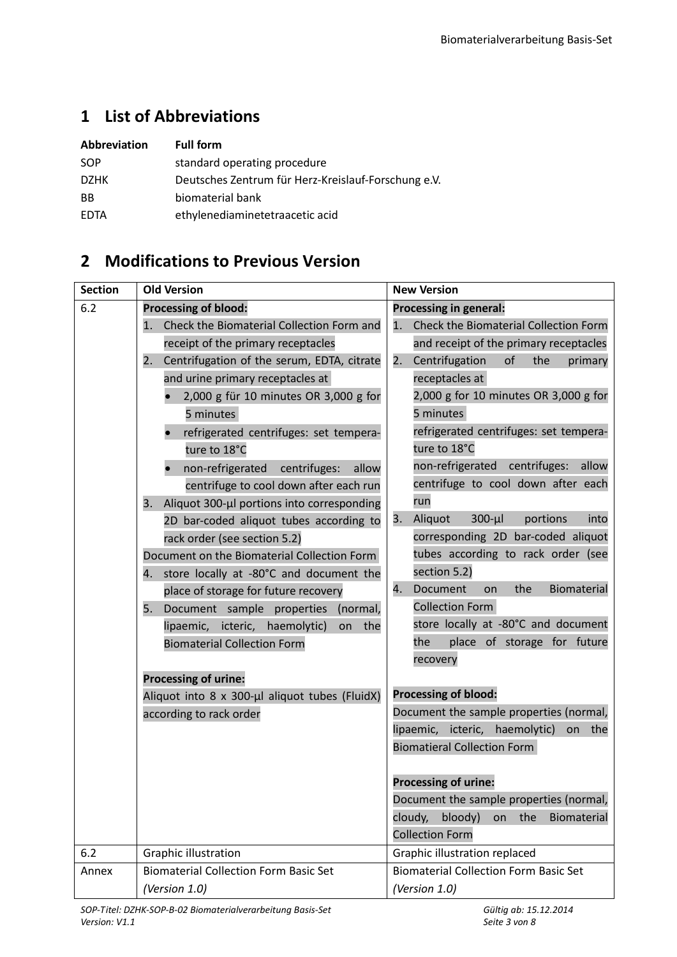# **1 List of Abbreviations**

| Abbreviation | <b>Full form</b>                                    |
|--------------|-----------------------------------------------------|
| SOP          | standard operating procedure                        |
| <b>DZHK</b>  | Deutsches Zentrum für Herz-Kreislauf-Forschung e.V. |
| <b>BB</b>    | biomaterial bank                                    |
| <b>FDTA</b>  | ethylenediaminetetraacetic acid                     |

# **2 Modifications to Previous Version**

| <b>Section</b> | <b>Old Version</b>                               | <b>New Version</b>                                                                  |  |  |  |  |
|----------------|--------------------------------------------------|-------------------------------------------------------------------------------------|--|--|--|--|
| 6.2            | <b>Processing of blood:</b>                      | <b>Processing in general:</b>                                                       |  |  |  |  |
|                | Check the Biomaterial Collection Form and<br>1.  | Check the Biomaterial Collection Form<br>1.                                         |  |  |  |  |
|                | receipt of the primary receptacles               | and receipt of the primary receptacles                                              |  |  |  |  |
|                | Centrifugation of the serum, EDTA, citrate<br>2. | Centrifugation<br>of<br>2.<br>the<br>primary                                        |  |  |  |  |
|                | and urine primary receptacles at                 | receptacles at                                                                      |  |  |  |  |
|                | 2,000 g für 10 minutes OR 3,000 g for            | 2,000 g for 10 minutes OR 3,000 g for                                               |  |  |  |  |
|                | 5 minutes                                        | 5 minutes                                                                           |  |  |  |  |
|                | refrigerated centrifuges: set tempera-           | refrigerated centrifuges: set tempera-                                              |  |  |  |  |
|                | ture to 18°C                                     | ture to 18°C                                                                        |  |  |  |  |
|                | non-refrigerated<br>centrifuges:<br>allow        | non-refrigerated<br>centrifuges:<br>allow                                           |  |  |  |  |
|                | centrifuge to cool down after each run           | centrifuge to cool down after each                                                  |  |  |  |  |
|                | Aliquot 300-µl portions into corresponding<br>3. | run                                                                                 |  |  |  |  |
|                | 2D bar-coded aliquot tubes according to          | Aliquot<br>$300-\mu l$<br>portions<br>into<br>3.                                    |  |  |  |  |
|                | rack order (see section 5.2)                     | corresponding 2D bar-coded aliquot                                                  |  |  |  |  |
|                | Document on the Biomaterial Collection Form      | tubes according to rack order (see                                                  |  |  |  |  |
|                | 4. store locally at -80°C and document the       | section 5.2)                                                                        |  |  |  |  |
|                | place of storage for future recovery             | Document<br>the<br>4.<br>Biomaterial<br>on                                          |  |  |  |  |
|                | Document sample properties<br>5.<br>(normal,     | <b>Collection Form</b>                                                              |  |  |  |  |
|                | lipaemic, icteric, haemolytic)<br>the<br>on      | store locally at -80°C and document                                                 |  |  |  |  |
|                | <b>Biomaterial Collection Form</b>               | place of storage for future<br>the                                                  |  |  |  |  |
|                |                                                  | recovery                                                                            |  |  |  |  |
|                | <b>Processing of urine:</b>                      |                                                                                     |  |  |  |  |
|                | Aliquot into 8 x 300-µl aliquot tubes (FluidX)   | <b>Processing of blood:</b>                                                         |  |  |  |  |
|                | according to rack order                          | Document the sample properties (normal,<br>lipaemic, icteric, haemolytic)<br>on the |  |  |  |  |
|                |                                                  | <b>Biomatieral Collection Form</b>                                                  |  |  |  |  |
|                |                                                  |                                                                                     |  |  |  |  |
|                |                                                  | <b>Processing of urine:</b>                                                         |  |  |  |  |
|                |                                                  | Document the sample properties (normal,                                             |  |  |  |  |
|                |                                                  | bloody)<br>the<br>cloudy,<br>Biomaterial<br>on                                      |  |  |  |  |
|                |                                                  | <b>Collection Form</b>                                                              |  |  |  |  |
| 6.2            | Graphic illustration                             | Graphic illustration replaced                                                       |  |  |  |  |
| Annex          | <b>Biomaterial Collection Form Basic Set</b>     | <b>Biomaterial Collection Form Basic Set</b>                                        |  |  |  |  |
|                | (Version 1.0)                                    | (Version 1.0)                                                                       |  |  |  |  |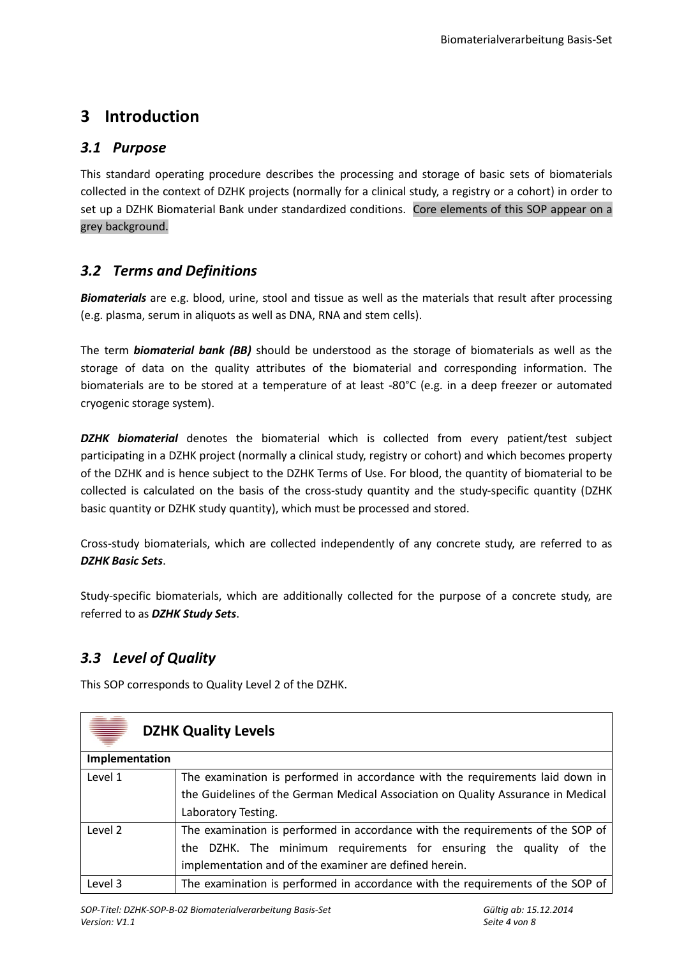## **3 Introduction**

#### *3.1 Purpose*

This standard operating procedure describes the processing and storage of basic sets of biomaterials collected in the context of DZHK projects (normally for a clinical study, a registry or a cohort) in order to set up a DZHK Biomaterial Bank under standardized conditions. Core elements of this SOP appear on a grey background.

## *3.2 Terms and Definitions*

*Biomaterials* are e.g. blood, urine, stool and tissue as well as the materials that result after processing (e.g. plasma, serum in aliquots as well as DNA, RNA and stem cells).

The term *biomaterial bank (BB)* should be understood as the storage of biomaterials as well as the storage of data on the quality attributes of the biomaterial and corresponding information. The biomaterials are to be stored at a temperature of at least -80°C (e.g. in a deep freezer or automated cryogenic storage system).

*DZHK biomaterial* denotes the biomaterial which is collected from every patient/test subject participating in a DZHK project (normally a clinical study, registry or cohort) and which becomes property of the DZHK and is hence subject to the DZHK Terms of Use. For blood, the quantity of biomaterial to be collected is calculated on the basis of the cross-study quantity and the study-specific quantity (DZHK basic quantity or DZHK study quantity), which must be processed and stored.

Cross-study biomaterials, which are collected independently of any concrete study, are referred to as *DZHK Basic Sets*.

Study-specific biomaterials, which are additionally collected for the purpose of a concrete study, are referred to as *DZHK Study Sets*.

## *3.3 Level of Quality*

This SOP corresponds to Quality Level 2 of the DZHK.

| ♥<br><b>DZHK Quality Levels</b> |                                                                                  |  |  |  |  |
|---------------------------------|----------------------------------------------------------------------------------|--|--|--|--|
| Implementation                  |                                                                                  |  |  |  |  |
| Level 1                         | The examination is performed in accordance with the requirements laid down in    |  |  |  |  |
|                                 | the Guidelines of the German Medical Association on Quality Assurance in Medical |  |  |  |  |
|                                 | Laboratory Testing.                                                              |  |  |  |  |
| Level 2                         | The examination is performed in accordance with the requirements of the SOP of   |  |  |  |  |
|                                 | the DZHK. The minimum requirements for ensuring the quality of the               |  |  |  |  |
|                                 | implementation and of the examiner are defined herein.                           |  |  |  |  |
| Level 3                         | The examination is performed in accordance with the requirements of the SOP of   |  |  |  |  |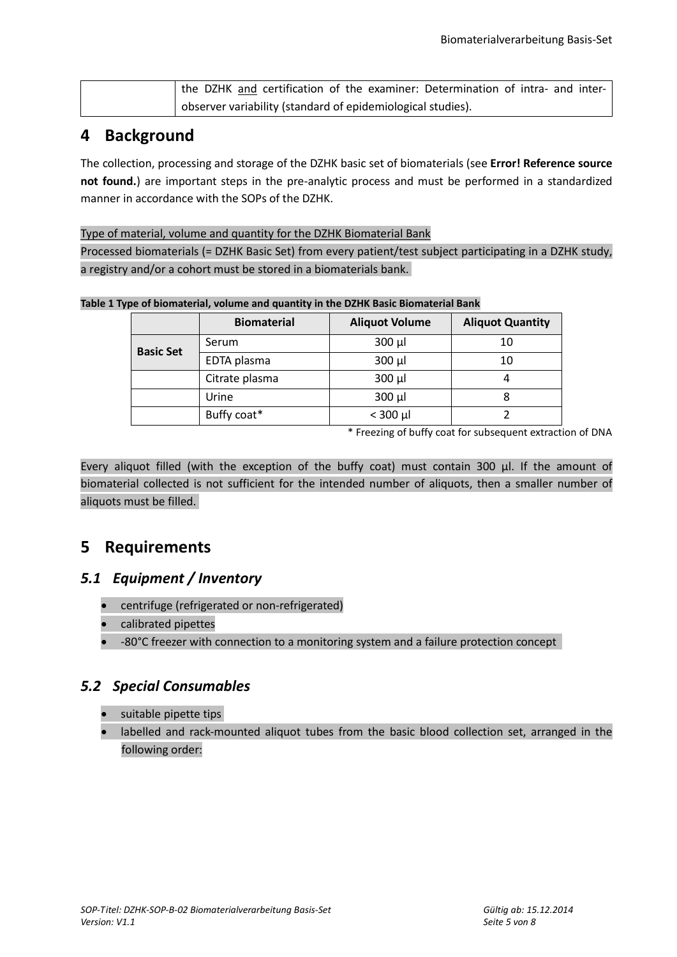| the DZHK and certification of the examiner: Determination of intra- and inter- |
|--------------------------------------------------------------------------------|
| observer variability (standard of epidemiological studies).                    |

## **4 Background**

The collection, processing and storage of the DZHK basic set of biomaterials (see **Error! Reference source not found.**) are important steps in the pre-analytic process and must be performed in a standardized manner in accordance with the SOPs of the DZHK.

Type of material, volume and quantity for the DZHK Biomaterial Bank Processed biomaterials (= DZHK Basic Set) from every patient/test subject participating in a DZHK study, a registry and/or a cohort must be stored in a biomaterials bank.

**Table 1 Type of biomaterial, volume and quantity in the DZHK Basic Biomaterial Bank**

|                  | <b>Biomaterial</b> | <b>Aliquot Volume</b> | <b>Aliquot Quantity</b> |  |
|------------------|--------------------|-----------------------|-------------------------|--|
| <b>Basic Set</b> | Serum              | $300 \mu l$           | 10                      |  |
|                  | EDTA plasma        | $300 \mu l$           | 10                      |  |
|                  | Citrate plasma     | $300 \mu l$           |                         |  |
|                  | Urine              | $300 \mu l$           |                         |  |
|                  | Buffy coat*        | $<$ 300 µl            |                         |  |

\* Freezing of buffy coat for subsequent extraction of DNA

Every aliquot filled (with the exception of the buffy coat) must contain 300 µl. If the amount of biomaterial collected is not sufficient for the intended number of aliquots, then a smaller number of aliquots must be filled.

## **5 Requirements**

#### *5.1 Equipment / Inventory*

- centrifuge (refrigerated or non-refrigerated)
- calibrated pipettes
- -80°C freezer with connection to a monitoring system and a failure protection concept

#### <span id="page-4-0"></span>*5.2 Special Consumables*

- suitable pipette tips
- labelled and rack-mounted aliquot tubes from the basic blood collection set, arranged in the following order: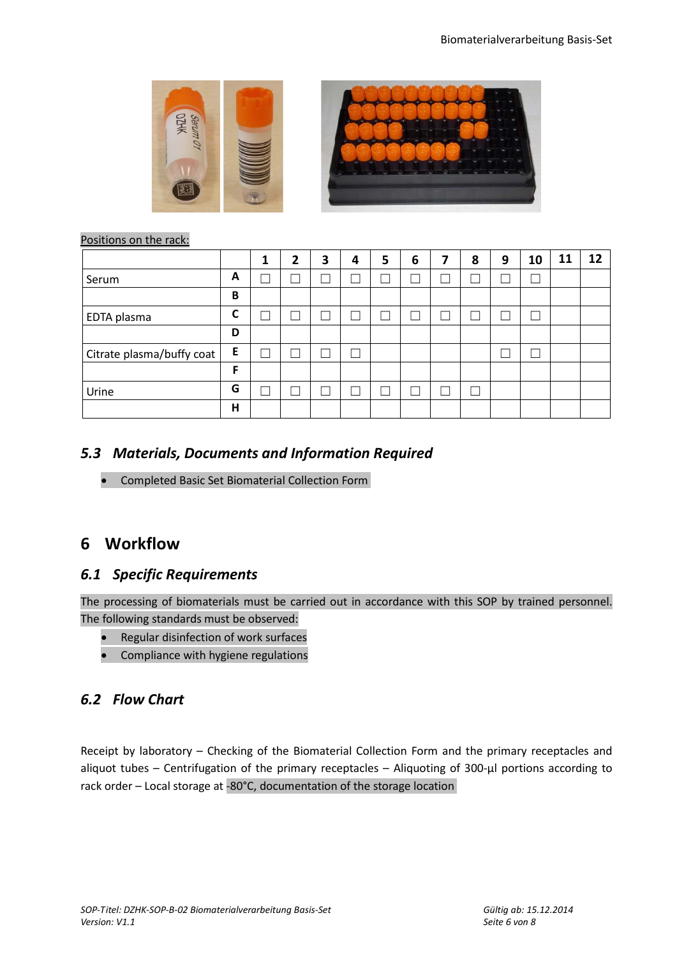

#### Positions on the rack:

|                           |   | ٠ | 2 | 3 | 4 | 5 | 6 | 7 | 8 | 9 | 10 | <b>11</b> | 12 |
|---------------------------|---|---|---|---|---|---|---|---|---|---|----|-----------|----|
| Serum                     | A |   |   |   |   |   |   |   |   |   |    |           |    |
|                           | B |   |   |   |   |   |   |   |   |   |    |           |    |
| EDTA plasma               | C |   |   |   |   |   |   |   |   |   |    |           |    |
|                           | D |   |   |   |   |   |   |   |   |   |    |           |    |
| Citrate plasma/buffy coat | E |   |   |   |   |   |   |   |   |   |    |           |    |
|                           | F |   |   |   |   |   |   |   |   |   |    |           |    |
| Urine                     | G |   |   |   |   |   |   |   |   |   |    |           |    |
|                           | н |   |   |   |   |   |   |   |   |   |    |           |    |

#### *5.3 Materials, Documents and Information Required*

• Completed Basic Set Biomaterial Collection Form

## **6 Workflow**

#### *6.1 Specific Requirements*

The processing of biomaterials must be carried out in accordance with this SOP by trained personnel. The following standards must be observed:

- Regular disinfection of work surfaces
- Compliance with hygiene regulations

### *6.2 Flow Chart*

Receipt by laboratory – Checking of the Biomaterial Collection Form and the primary receptacles and aliquot tubes – Centrifugation of the primary receptacles – Aliquoting of 300-µl portions according to rack order – Local storage at -80°C, documentation of the storage location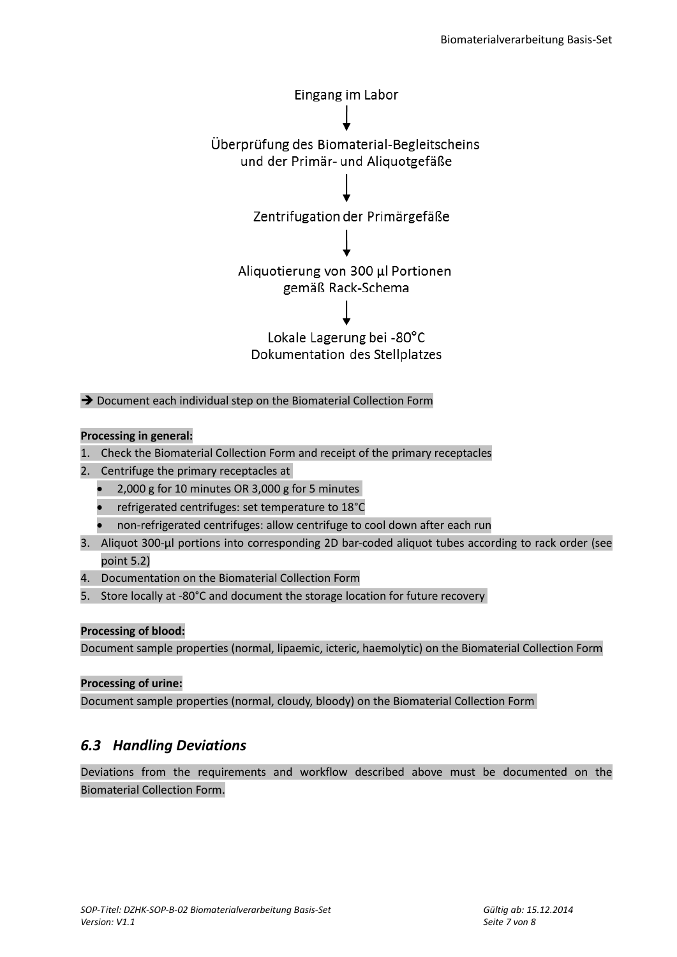

→ Document each individual step on the Biomaterial Collection Form

#### **Processing in general:**

- 1. Check the Biomaterial Collection Form and receipt of the primary receptacles
- 2. Centrifuge the primary receptacles at
	- 2,000 g for 10 minutes OR 3,000 g for 5 minutes
	- refrigerated centrifuges: set temperature to 18°C
	- non-refrigerated centrifuges: allow centrifuge to cool down after each run
- 3. Aliquot 300-µl portions into corresponding 2D bar-coded aliquot tubes according to rack order (see point [5.2\)](#page-4-0)
- 4. Documentation on the Biomaterial Collection Form
- 5. Store locally at -80°C and document the storage location for future recovery

#### **Processing of blood:**

Document sample properties (normal, lipaemic, icteric, haemolytic) on the Biomaterial Collection Form

#### **Processing of urine:**

Document sample properties (normal, cloudy, bloody) on the Biomaterial Collection Form

#### *6.3 Handling Deviations*

Deviations from the requirements and workflow described above must be documented on the Biomaterial Collection Form.